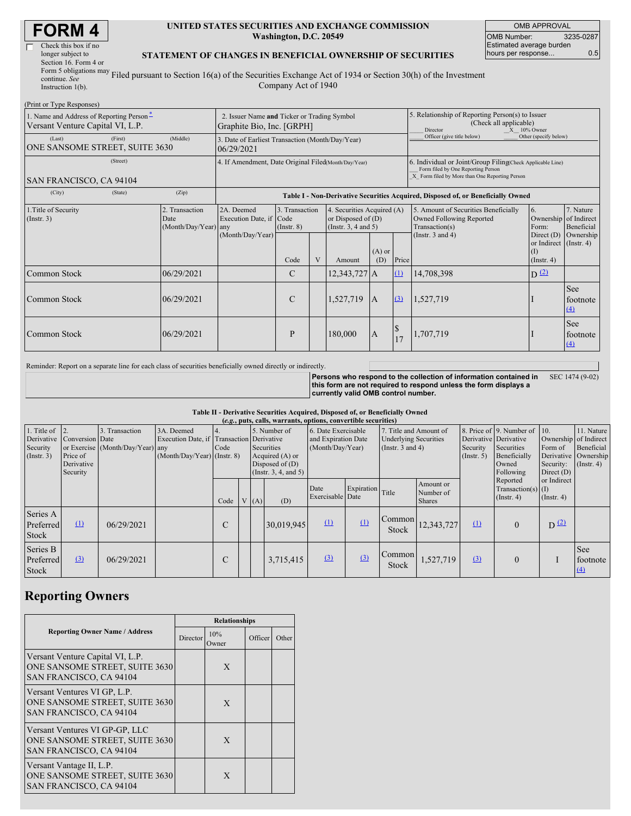| <b>FORM4</b> |  |
|--------------|--|
|--------------|--|

| Check this box if no       |
|----------------------------|
| longer subject to          |
| Section 16. Form 4 or      |
| Form 5 obligations may $r$ |
| continue. See              |
|                            |

#### **UNITED STATES SECURITIES AND EXCHANGE COMMISSION Washington, D.C. 20549**

OMB APPROVAL OMB Number: 3235-0287 Estimated average burden hours per response... 0.5

### **STATEMENT OF CHANGES IN BENEFICIAL OWNERSHIP OF SECURITIES**

Instruction 1(b). Filed pursuant to Section 16(a) of the Securities Exchange Act of 1934 or Section 30(h) of the Investment Company Act of 1940

| (Print or Type Responses)                                                    |                                                                          |                                        |                                                                                  |                               |   |                                                                            |                                                                                                            |          |                                                                                                                                                    |                                                                         |                         |  |
|------------------------------------------------------------------------------|--------------------------------------------------------------------------|----------------------------------------|----------------------------------------------------------------------------------|-------------------------------|---|----------------------------------------------------------------------------|------------------------------------------------------------------------------------------------------------|----------|----------------------------------------------------------------------------------------------------------------------------------------------------|-------------------------------------------------------------------------|-------------------------|--|
| 1. Name and Address of Reporting Person-<br>Versant Venture Capital VI, L.P. | 2. Issuer Name and Ticker or Trading Symbol<br>Graphite Bio, Inc. [GRPH] |                                        |                                                                                  |                               |   |                                                                            | 5. Relationship of Reporting Person(s) to Issuer<br>(Check all applicable)<br>$X = 10\%$ Owner<br>Director |          |                                                                                                                                                    |                                                                         |                         |  |
| (Middle)<br>(Last)<br>(First)<br>ONE SANSOME STREET, SUITE 3630              |                                                                          |                                        | 3. Date of Earliest Transaction (Month/Day/Year)<br>06/29/2021                   |                               |   |                                                                            |                                                                                                            |          | Officer (give title below)                                                                                                                         | Other (specify below)                                                   |                         |  |
| (Street)<br>SAN FRANCISCO, CA 94104                                          |                                                                          |                                        | 4. If Amendment, Date Original Filed(Month/Day/Year)                             |                               |   |                                                                            |                                                                                                            |          | 6. Individual or Joint/Group Filing Check Applicable Line)<br>Form filed by One Reporting Person<br>X Form filed by More than One Reporting Person |                                                                         |                         |  |
| (City)                                                                       | (State)                                                                  | (Zip)                                  | Table I - Non-Derivative Securities Acquired, Disposed of, or Beneficially Owned |                               |   |                                                                            |                                                                                                            |          |                                                                                                                                                    |                                                                         |                         |  |
| 1. Title of Security<br>(Insert. 3)<br>Date                                  |                                                                          | 2. Transaction<br>(Month/Day/Year) any | 2A. Deemed<br>Execution Date, if Code                                            | 3. Transaction<br>(Insert. 8) |   | 4. Securities Acquired (A)<br>or Disposed of $(D)$<br>(Insert. 3, 4 and 5) |                                                                                                            |          | 5. Amount of Securities Beneficially<br>Owned Following Reported<br>Transaction(s)                                                                 | 6.<br>Ownership of Indirect<br>Form:                                    | 7. Nature<br>Beneficial |  |
|                                                                              |                                                                          |                                        | (Month/Day/Year)                                                                 | Code                          | V | Amount                                                                     | $(A)$ or<br>(D)                                                                                            | Price    | (Instr. $3$ and $4$ )                                                                                                                              | Direct (D)<br>or Indirect $($ Instr. 4)<br><b>D</b><br>$($ Instr. 4 $)$ | Ownership               |  |
| Common Stock                                                                 |                                                                          | 06/29/2021                             |                                                                                  | C                             |   | 12,343,727 A                                                               |                                                                                                            | (1)      | 14,708,398                                                                                                                                         | $D^{(2)}$                                                               |                         |  |
| Common Stock                                                                 |                                                                          | 06/29/2021                             |                                                                                  | $\mathcal{C}$                 |   | 1,527,719                                                                  | $\overline{A}$                                                                                             | (3)      | 1,527,719                                                                                                                                          |                                                                         | See<br>footnote<br>(4)  |  |
| Common Stock                                                                 |                                                                          | 06/29/2021                             |                                                                                  | P                             |   | 180,000                                                                    | $\mathbf{A}$                                                                                               | \$<br>17 | 1,707,719                                                                                                                                          |                                                                         | See<br>footnote<br>(4)  |  |

Reminder: Report on a separate line for each class of securities beneficially owned directly or indirectly.

**Persons who respond to the collection of information contained in this form are not required to respond unless the form displays a currently valid OMB control number.** SEC 1474 (9-02)

### **Table II - Derivative Securities Acquired, Disposed of, or Beneficially Owned**

|                                                                      | (e.g., puts, calls, warrants, options, convertible securities) |                                                 |                                                                                          |      |  |                                                                                                  |            |                          |            |                                                                |                                         |                                                                                 |                                                                                         |      |                                     |                              |                                                                                                           |  |  |                                      |                                                                                               |
|----------------------------------------------------------------------|----------------------------------------------------------------|-------------------------------------------------|------------------------------------------------------------------------------------------|------|--|--------------------------------------------------------------------------------------------------|------------|--------------------------|------------|----------------------------------------------------------------|-----------------------------------------|---------------------------------------------------------------------------------|-----------------------------------------------------------------------------------------|------|-------------------------------------|------------------------------|-----------------------------------------------------------------------------------------------------------|--|--|--------------------------------------|-----------------------------------------------------------------------------------------------|
| 1. Title of $\vert$ 2.<br>Derivative<br>Security<br>$($ Instr. 3 $)$ | Conversion Date<br>Price of<br>Derivative<br>Security          | Transaction<br>or Exercise (Month/Day/Year) any | 3A. Deemed<br>Execution Date, if Transaction Derivative<br>$(Month/Day/Year)$ (Instr. 8) | Code |  | 5. Number of<br>Securities<br>Acquired (A) or<br>Disposed of $(D)$<br>(Instr. $3, 4,$ and $5)$ ) |            |                          |            | 6. Date Exercisable<br>and Expiration Date<br>(Month/Day/Year) |                                         | 7. Title and Amount of<br><b>Underlying Securities</b><br>(Instr. $3$ and $4$ ) |                                                                                         |      |                                     | Security<br>$($ Instr. 5 $)$ | 8. Price of 9. Number of 10.<br>Derivative Derivative<br>Securities<br>Beneficially<br>Owned<br>Following |  |  | Form of<br>Security:<br>Direct $(D)$ | 11. Nature<br>Ownership of Indirect<br>Beneficial<br>Derivative Ownership<br>$($ Instr. 4 $)$ |
|                                                                      |                                                                |                                                 |                                                                                          | Code |  | V(A)                                                                                             | (D)        | Date<br>Exercisable Date | Expiration | Title                                                          | Amount or<br>Number of<br><b>Shares</b> |                                                                                 | or Indirect<br>Reported<br>Transaction(s) $(I)$<br>$($ Instr. 4 $)$<br>$($ Instr. 4 $)$ |      |                                     |                              |                                                                                                           |  |  |                                      |                                                                                               |
| Series A<br>Preferred<br><b>Stock</b>                                | $\mathbf{r}$                                                   | 06/29/2021                                      |                                                                                          | C    |  |                                                                                                  | 30,019,945 | $\Omega$                 | $\Omega$   | Common<br>Stock                                                | 12,343,727                              | $\Omega$                                                                        | $\Omega$                                                                                | D(2) |                                     |                              |                                                                                                           |  |  |                                      |                                                                                               |
| Series B<br>Preferred<br>Stock                                       | $\Omega$                                                       | 06/29/2021                                      |                                                                                          | C    |  |                                                                                                  | 3,715,415  | $\Omega$                 | (3)        | Common<br>Stock                                                | 1,527,719                               | $\Omega$                                                                        | $\Omega$                                                                                |      | See<br>footnote<br>$\left(4\right)$ |                              |                                                                                                           |  |  |                                      |                                                                                               |

# **Reporting Owners**

|                                                                                               |                 | <b>Relationships</b> |         |       |
|-----------------------------------------------------------------------------------------------|-----------------|----------------------|---------|-------|
| <b>Reporting Owner Name / Address</b>                                                         | <b>Director</b> | 10%<br>Owner         | Officer | Other |
| Versant Venture Capital VI, L.P.<br>ONE SANSOME STREET, SUITE 3630<br>SAN FRANCISCO, CA 94104 |                 | X                    |         |       |
| Versant Ventures VI GP, L.P.<br>ONE SANSOME STREET, SUITE 3630<br>SAN FRANCISCO, CA 94104     |                 | X                    |         |       |
| Versant Ventures VI GP-GP, LLC<br>ONE SANSOME STREET, SUITE 3630<br>SAN FRANCISCO, CA 94104   |                 | X                    |         |       |
| Versant Vantage II, L.P.<br>ONE SANSOME STREET, SUITE 3630<br>SAN FRANCISCO, CA 94104         |                 | X                    |         |       |